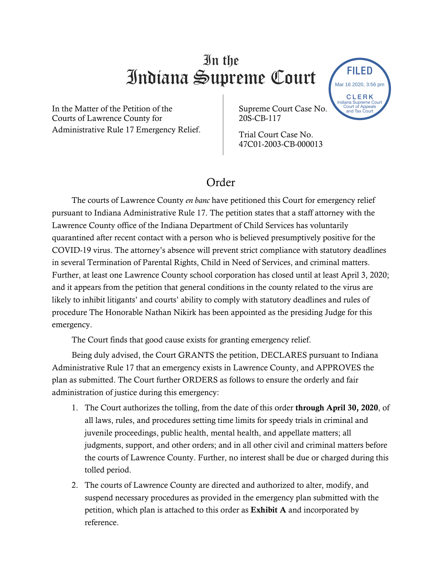## In the Indiana Supreme Court

In the Matter of the Petition of the Courts of Lawrence County for Administrative Rule 17 Emergency Relief. Supreme Court Case No. 20S-CB-117

Trial Court Case No. 47C01-2003-CB-000013

## Order

The courts of Lawrence County *en banc* have petitioned this Court for emergency relief pursuant to Indiana Administrative Rule 17. The petition states that a staff attorney with the Lawrence County office of the Indiana Department of Child Services has voluntarily quarantined after recent contact with a person who is believed presumptively positive for the COVID-19 virus. The attorney's absence will prevent strict compliance with statutory deadlines in several Termination of Parental Rights, Child in Need of Services, and criminal matters. Further, at least one Lawrence County school corporation has closed until at least April 3, 2020; and it appears from the petition that general conditions in the county related to the virus are likely to inhibit litigants' and courts' ability to comply with statutory deadlines and rules of procedure The Honorable Nathan Nikirk has been appointed as the presiding Judge for this emergency. **EXERCT AND THENTIFY CONTRIMENT CONTINUAL SET AND SURFACE CONTINUAL TRANSPARENT (THE AND SURFACE CONTINUAL DRESS)**<br>
Traitive Rule 17 Emergency Relief.<br>
Lawrence County for<br>
Lawrence County of the Supercone Count Case No.

The Court finds that good cause exists for granting emergency relief.

Being duly advised, the Court GRANTS the petition, DECLARES pursuant to Indiana Administrative Rule 17 that an emergency exists in Lawrence County, and APPROVES the plan as submitted. The Court further ORDERS as follows to ensure the orderly and fair administration of justice during this emergency:

- 1. The Court authorizes the tolling, from the date of this order through April 30, 2020, of all laws, rules, and procedures setting time limits for speedy trials in criminal and juvenile proceedings, public health, mental health, and appellate matters; all judgments, support, and other orders; and in all other civil and criminal matters before the courts of Lawrence County. Further, no interest shall be due or charged during this tolled period.
- 2. The courts of Lawrence County are directed and authorized to alter, modify, and suspend necessary procedures as provided in the emergency plan submitted with the petition, which plan is attached to this order as Exhibit A and incorporated by

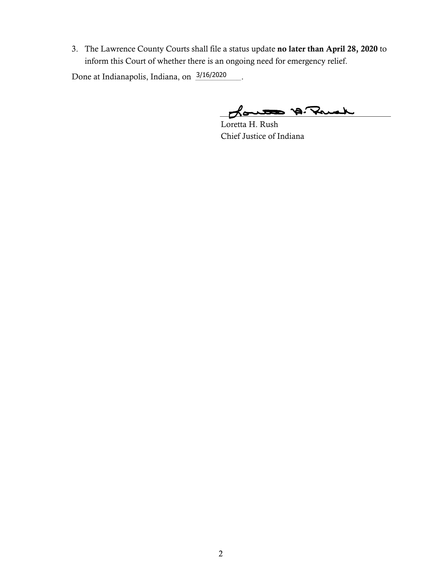3. The Lawrence County Courts shall file a status update no later than April 28, 2020 to inform this Court of whether there is an ongoing need for emergency relief.

Done at Indianapolis, Indiana, on  $\frac{3/16}{2020}$ .

Loute A. Ruch

Loretta H. Rush Chief Justice of Indiana